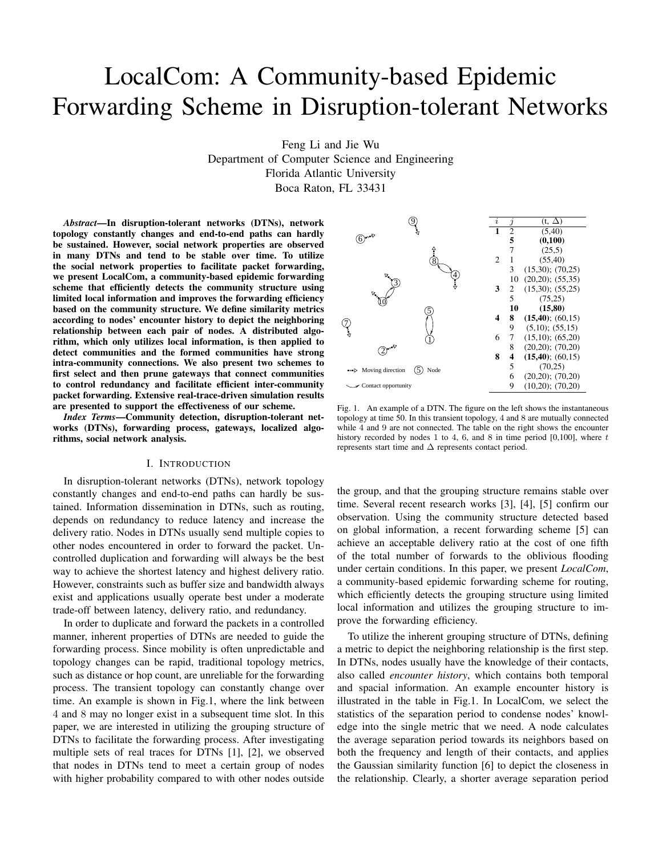# LocalCom: A Community-based Epidemic Forwarding Scheme in Disruption-tolerant Networks

Feng Li and Jie Wu Department of Computer Science and Engineering Florida Atlantic University

Boca Raton, FL 33431

*Abstract*—In disruption-tolerant networks (DTNs), network topology constantly changes and end-to-end paths can hardly be sustained. However, social network properties are observed in many DTNs and tend to be stable over time. To utilize the social network properties to facilitate packet forwarding, we present LocalCom, a community-based epidemic forwarding scheme that efficiently detects the community structure using limited local information and improves the forwarding efficiency based on the community structure. We define similarity metrics according to nodes' encounter history to depict the neighboring relationship between each pair of nodes. A distributed algorithm, which only utilizes local information, is then applied to detect communities and the formed communities have strong intra-community connections. We also present two schemes to first select and then prune gateways that connect communities to control redundancy and facilitate efficient inter-community packet forwarding. Extensive real-trace-driven simulation results are presented to support the effectiveness of our scheme.

*Index Terms*—Community detection, disruption-tolerant networks (DTNs), forwarding process, gateways, localized algorithms, social network analysis.

## I. INTRODUCTION

In disruption-tolerant networks (DTNs), network topology constantly changes and end-to-end paths can hardly be sustained. Information dissemination in DTNs, such as routing, depends on redundancy to reduce latency and increase the delivery ratio. Nodes in DTNs usually send multiple copies to other nodes encountered in order to forward the packet. Uncontrolled duplication and forwarding will always be the best way to achieve the shortest latency and highest delivery ratio. However, constraints such as buffer size and bandwidth always exist and applications usually operate best under a moderate trade-off between latency, delivery ratio, and redundancy.

In order to duplicate and forward the packets in a controlled manner, inherent properties of DTNs are needed to guide the forwarding process. Since mobility is often unpredictable and topology changes can be rapid, traditional topology metrics, such as distance or hop count, are unreliable for the forwarding process. The transient topology can constantly change over time. An example is shown in Fig.1, where the link between 4 and 8 may no longer exist in a subsequent time slot. In this paper, we are interested in utilizing the grouping structure of DTNs to facilitate the forwarding process. After investigating multiple sets of real traces for DTNs [1], [2], we observed that nodes in DTNs tend to meet a certain group of nodes with higher probability compared to with other nodes outside



Fig. 1. An example of a DTN. The figure on the left shows the instantaneous topology at time 50. In this transient topology, 4 and 8 are mutually connected while 4 and 9 are not connected. The table on the right shows the encounter history recorded by nodes 1 to 4, 6, and 8 in time period  $[0,100]$ , where t represents start time and ∆ represents contact period.

the group, and that the grouping structure remains stable over time. Several recent research works [3], [4], [5] confirm our observation. Using the community structure detected based on global information, a recent forwarding scheme [5] can achieve an acceptable delivery ratio at the cost of one fifth of the total number of forwards to the oblivious flooding under certain conditions. In this paper, we present *LocalCom*, a community-based epidemic forwarding scheme for routing, which efficiently detects the grouping structure using limited local information and utilizes the grouping structure to improve the forwarding efficiency.

To utilize the inherent grouping structure of DTNs, defining a metric to depict the neighboring relationship is the first step. In DTNs, nodes usually have the knowledge of their contacts, also called *encounter history*, which contains both temporal and spacial information. An example encounter history is illustrated in the table in Fig.1. In LocalCom, we select the statistics of the separation period to condense nodes' knowledge into the single metric that we need. A node calculates the average separation period towards its neighbors based on both the frequency and length of their contacts, and applies the Gaussian similarity function [6] to depict the closeness in the relationship. Clearly, a shorter average separation period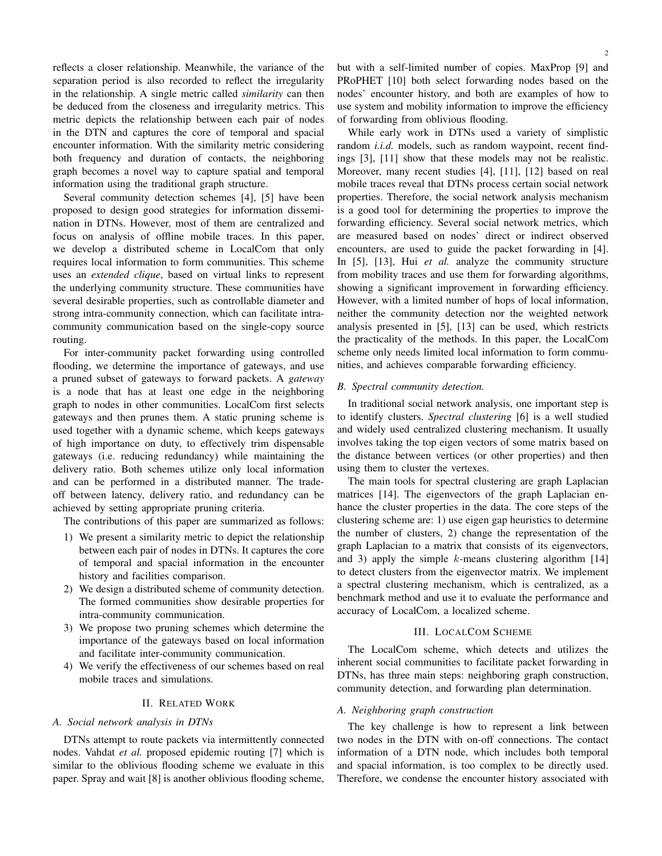reflects a closer relationship. Meanwhile, the variance of the separation period is also recorded to reflect the irregularity in the relationship. A single metric called *similarity* can then be deduced from the closeness and irregularity metrics. This metric depicts the relationship between each pair of nodes in the DTN and captures the core of temporal and spacial encounter information. With the similarity metric considering both frequency and duration of contacts, the neighboring graph becomes a novel way to capture spatial and temporal information using the traditional graph structure.

Several community detection schemes [4], [5] have been proposed to design good strategies for information dissemination in DTNs. However, most of them are centralized and focus on analysis of offline mobile traces. In this paper, we develop a distributed scheme in LocalCom that only requires local information to form communities. This scheme uses an *extended clique*, based on virtual links to represent the underlying community structure. These communities have several desirable properties, such as controllable diameter and strong intra-community connection, which can facilitate intracommunity communication based on the single-copy source routing.

For inter-community packet forwarding using controlled flooding, we determine the importance of gateways, and use a pruned subset of gateways to forward packets. A *gateway* is a node that has at least one edge in the neighboring graph to nodes in other communities. LocalCom first selects gateways and then prunes them. A static pruning scheme is used together with a dynamic scheme, which keeps gateways of high importance on duty, to effectively trim dispensable gateways (i.e. reducing redundancy) while maintaining the delivery ratio. Both schemes utilize only local information and can be performed in a distributed manner. The tradeoff between latency, delivery ratio, and redundancy can be achieved by setting appropriate pruning criteria.

The contributions of this paper are summarized as follows:

- 1) We present a similarity metric to depict the relationship between each pair of nodes in DTNs. It captures the core of temporal and spacial information in the encounter history and facilities comparison.
- 2) We design a distributed scheme of community detection. The formed communities show desirable properties for intra-community communication.
- 3) We propose two pruning schemes which determine the importance of the gateways based on local information and facilitate inter-community communication.
- 4) We verify the effectiveness of our schemes based on real mobile traces and simulations.

## II. RELATED WORK

## *A. Social network analysis in DTNs*

DTNs attempt to route packets via intermittently connected nodes. Vahdat *et al.* proposed epidemic routing [7] which is similar to the oblivious flooding scheme we evaluate in this paper. Spray and wait [8] is another oblivious flooding scheme, but with a self-limited number of copies. MaxProp [9] and PRoPHET [10] both select forwarding nodes based on the nodes' encounter history, and both are examples of how to use system and mobility information to improve the efficiency of forwarding from oblivious flooding.

While early work in DTNs used a variety of simplistic random *i.i.d.* models, such as random waypoint, recent findings [3], [11] show that these models may not be realistic. Moreover, many recent studies [4], [11], [12] based on real mobile traces reveal that DTNs process certain social network properties. Therefore, the social network analysis mechanism is a good tool for determining the properties to improve the forwarding efficiency. Several social network metrics, which are measured based on nodes' direct or indirect observed encounters, are used to guide the packet forwarding in [4]. In [5], [13], Hui *et al.* analyze the community structure from mobility traces and use them for forwarding algorithms, showing a significant improvement in forwarding efficiency. However, with a limited number of hops of local information, neither the community detection nor the weighted network analysis presented in [5], [13] can be used, which restricts the practicality of the methods. In this paper, the LocalCom scheme only needs limited local information to form communities, and achieves comparable forwarding efficiency.

#### *B. Spectral community detection.*

In traditional social network analysis, one important step is to identify clusters. *Spectral clustering* [6] is a well studied and widely used centralized clustering mechanism. It usually involves taking the top eigen vectors of some matrix based on the distance between vertices (or other properties) and then using them to cluster the vertexes.

The main tools for spectral clustering are graph Laplacian matrices [14]. The eigenvectors of the graph Laplacian enhance the cluster properties in the data. The core steps of the clustering scheme are: 1) use eigen gap heuristics to determine the number of clusters, 2) change the representation of the graph Laplacian to a matrix that consists of its eigenvectors, and 3) apply the simple  $k$ -means clustering algorithm [14] to detect clusters from the eigenvector matrix. We implement a spectral clustering mechanism, which is centralized, as a benchmark method and use it to evaluate the performance and accuracy of LocalCom, a localized scheme.

## III. LOCALCOM SCHEME

The LocalCom scheme, which detects and utilizes the inherent social communities to facilitate packet forwarding in DTNs, has three main steps: neighboring graph construction, community detection, and forwarding plan determination.

#### *A. Neighboring graph construction*

The key challenge is how to represent a link between two nodes in the DTN with on-off connections. The contact information of a DTN node, which includes both temporal and spacial information, is too complex to be directly used. Therefore, we condense the encounter history associated with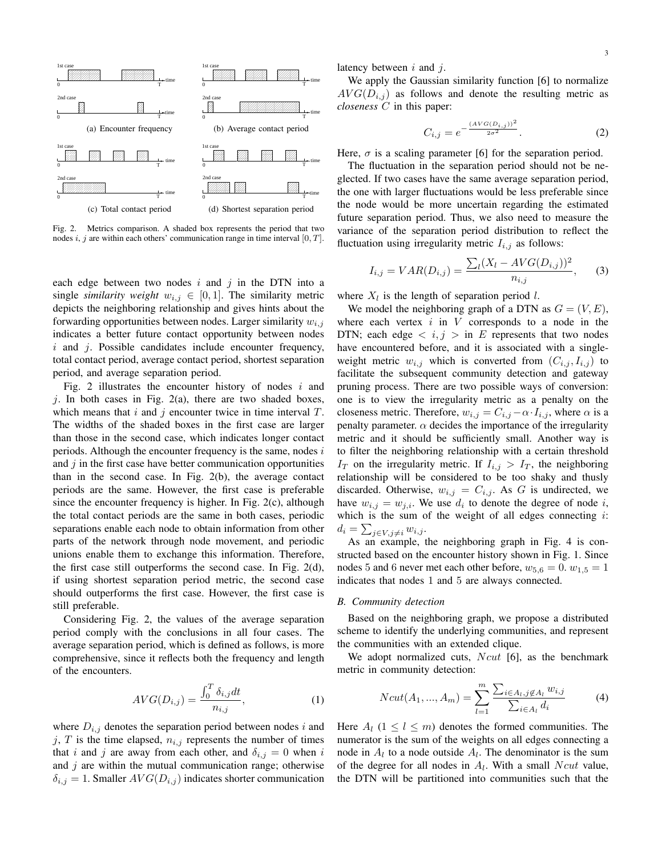

Fig. 2. Metrics comparison. A shaded box represents the period that two nodes i, j are within each others' communication range in time interval  $[0, T]$ .

each edge between two nodes  $i$  and  $j$  in the DTN into a single *similarity weight*  $w_{i,j} \in [0,1]$ . The similarity metric depicts the neighboring relationship and gives hints about the forwarding opportunities between nodes. Larger similarity  $w_{i,j}$ indicates a better future contact opportunity between nodes i and j. Possible candidates include encounter frequency, total contact period, average contact period, shortest separation period, and average separation period.

Fig. 2 illustrates the encounter history of nodes  $i$  and  $i$ . In both cases in Fig. 2(a), there are two shaded boxes, which means that i and j encounter twice in time interval  $T$ . The widths of the shaded boxes in the first case are larger than those in the second case, which indicates longer contact periods. Although the encounter frequency is the same, nodes  $i$ and  $j$  in the first case have better communication opportunities than in the second case. In Fig. 2(b), the average contact periods are the same. However, the first case is preferable since the encounter frequency is higher. In Fig. 2(c), although the total contact periods are the same in both cases, periodic separations enable each node to obtain information from other parts of the network through node movement, and periodic unions enable them to exchange this information. Therefore, the first case still outperforms the second case. In Fig. 2(d), if using shortest separation period metric, the second case should outperforms the first case. However, the first case is still preferable.

Considering Fig. 2, the values of the average separation period comply with the conclusions in all four cases. The average separation period, which is defined as follows, is more comprehensive, since it reflects both the frequency and length of the encounters.

$$
AVG(D_{i,j}) = \frac{\int_0^T \delta_{i,j} dt}{n_{i,j}},
$$
\n(1)

where  $D_{i,j}$  denotes the separation period between nodes i and j, T is the time elapsed,  $n_{i,j}$  represents the number of times that i and j are away from each other, and  $\delta_{i,j} = 0$  when i and  $j$  are within the mutual communication range; otherwise  $\delta_{i,j} = 1$ . Smaller  $AVG(D_{i,j})$  indicates shorter communication latency between  $i$  and  $j$ .

We apply the Gaussian similarity function [6] to normalize  $AVG(D_{i,j})$  as follows and denote the resulting metric as *closeness* C in this paper:

$$
C_{i,j} = e^{-\frac{(AVG(D_{i,j}))^2}{2\sigma^2}}.
$$
 (2)

Here,  $\sigma$  is a scaling parameter [6] for the separation period.

The fluctuation in the separation period should not be neglected. If two cases have the same average separation period, the one with larger fluctuations would be less preferable since the node would be more uncertain regarding the estimated future separation period. Thus, we also need to measure the variance of the separation period distribution to reflect the fluctuation using irregularity metric  $I_{i,j}$  as follows:

$$
I_{i,j} = VAR(D_{i,j}) = \frac{\sum_{l} (X_l - AVG(D_{i,j}))^2}{n_{i,j}},
$$
 (3)

where  $X_l$  is the length of separation period l.

We model the neighboring graph of a DTN as  $G = (V, E)$ , where each vertex  $i$  in  $V$  corresponds to a node in the DTN; each edge  $\langle i, j \rangle$  in E represents that two nodes have encountered before, and it is associated with a singleweight metric  $w_{i,j}$  which is converted from  $(C_{i,j}, I_{i,j})$  to facilitate the subsequent community detection and gateway pruning process. There are two possible ways of conversion: one is to view the irregularity metric as a penalty on the closeness metric. Therefore,  $w_{i,j} = C_{i,j} - \alpha \cdot I_{i,j}$ , where  $\alpha$  is a penalty parameter.  $\alpha$  decides the importance of the irregularity metric and it should be sufficiently small. Another way is to filter the neighboring relationship with a certain threshold  $I_T$  on the irregularity metric. If  $I_{i,j} > I_T$ , the neighboring relationship will be considered to be too shaky and thusly discarded. Otherwise,  $w_{i,j} = C_{i,j}$ . As G is undirected, we have  $w_{i,j} = w_{j,i}$ . We use  $d_i$  to denote the degree of node i, which is the sum of the weight of all edges connecting  $i$ :  $d_i = \sum_{j \in V, j \neq i} w_{i,j}.$ 

As an example, the neighboring graph in Fig. 4 is constructed based on the encounter history shown in Fig. 1. Since nodes 5 and 6 never met each other before,  $w_{5,6} = 0$ .  $w_{1,5} = 1$ indicates that nodes 1 and 5 are always connected.

#### *B. Community detection*

Based on the neighboring graph, we propose a distributed scheme to identify the underlying communities, and represent the communities with an extended clique.

We adopt normalized cuts,  $Ncut$  [6], as the benchmark metric in community detection:

$$
Ncut(A_1, ..., A_m) = \sum_{l=1}^{m} \frac{\sum_{i \in A_l, j \notin A_l} w_{i,j}}{\sum_{i \in A_l} d_i}
$$
(4)

Here  $A_l$  (1  $\leq l \leq m$ ) denotes the formed communities. The numerator is the sum of the weights on all edges connecting a node in  $A_l$  to a node outside  $A_l$ . The denominator is the sum of the degree for all nodes in  $A_l$ . With a small Ncut value, the DTN will be partitioned into communities such that the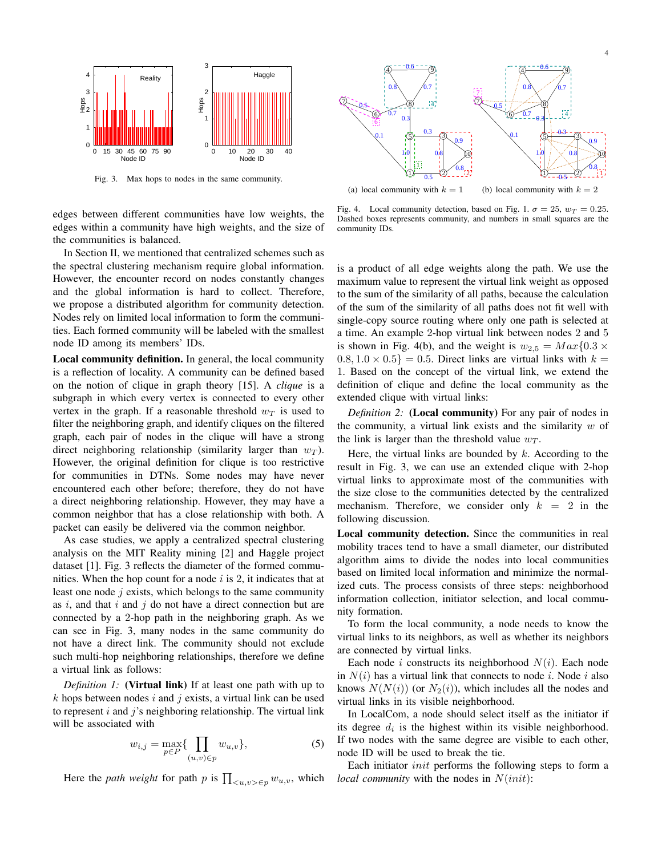

Fig. 3. Max hops to nodes in the same community.

edges between different communities have low weights, the edges within a community have high weights, and the size of the communities is balanced.

In Section II, we mentioned that centralized schemes such as the spectral clustering mechanism require global information. However, the encounter record on nodes constantly changes and the global information is hard to collect. Therefore, we propose a distributed algorithm for community detection. Nodes rely on limited local information to form the communities. Each formed community will be labeled with the smallest node ID among its members' IDs.

Local community definition. In general, the local community is a reflection of locality. A community can be defined based on the notion of clique in graph theory [15]. A *clique* is a subgraph in which every vertex is connected to every other vertex in the graph. If a reasonable threshold  $w_T$  is used to filter the neighboring graph, and identify cliques on the filtered graph, each pair of nodes in the clique will have a strong direct neighboring relationship (similarity larger than  $w_T$ ). However, the original definition for clique is too restrictive for communities in DTNs. Some nodes may have never encountered each other before; therefore, they do not have a direct neighboring relationship. However, they may have a common neighbor that has a close relationship with both. A packet can easily be delivered via the common neighbor.

As case studies, we apply a centralized spectral clustering analysis on the MIT Reality mining [2] and Haggle project dataset [1]. Fig. 3 reflects the diameter of the formed communities. When the hop count for a node  $i$  is 2, it indicates that at least one node  $j$  exists, which belongs to the same community as  $i$ , and that  $i$  and  $j$  do not have a direct connection but are connected by a 2-hop path in the neighboring graph. As we can see in Fig. 3, many nodes in the same community do not have a direct link. The community should not exclude such multi-hop neighboring relationships, therefore we define a virtual link as follows:

*Definition 1:* (Virtual link) If at least one path with up to k hops between nodes i and j exists, a virtual link can be used to represent  $i$  and  $j$ 's neighboring relationship. The virtual link will be associated with

$$
w_{i,j} = \max_{p \in P} \{ \prod_{(u,v) \in p} w_{u,v} \},\tag{5}
$$

Here the *path weight* for path p is  $\prod_{\langle u,v\rangle \in p} w_{u,v}$ , which



Fig. 4. Local community detection, based on Fig. 1.  $\sigma = 25$ ,  $w_T = 0.25$ . Dashed boxes represents community, and numbers in small squares are the community IDs.

is a product of all edge weights along the path. We use the maximum value to represent the virtual link weight as opposed to the sum of the similarity of all paths, because the calculation of the sum of the similarity of all paths does not fit well with single-copy source routing where only one path is selected at a time. An example 2-hop virtual link between nodes 2 and 5 is shown in Fig. 4(b), and the weight is  $w_{2,5} = Max{0.3 \times}$  $0.8, 1.0 \times 0.5$  = 0.5. Direct links are virtual links with  $k =$ 1. Based on the concept of the virtual link, we extend the definition of clique and define the local community as the extended clique with virtual links:

*Definition 2:* (Local community) For any pair of nodes in the community, a virtual link exists and the similarity  $w$  of the link is larger than the threshold value  $w_T$ .

Here, the virtual links are bounded by  $k$ . According to the result in Fig. 3, we can use an extended clique with 2-hop virtual links to approximate most of the communities with the size close to the communities detected by the centralized mechanism. Therefore, we consider only  $k = 2$  in the following discussion.

Local community detection. Since the communities in real mobility traces tend to have a small diameter, our distributed algorithm aims to divide the nodes into local communities based on limited local information and minimize the normalized cuts. The process consists of three steps: neighborhood information collection, initiator selection, and local community formation.

To form the local community, a node needs to know the virtual links to its neighbors, as well as whether its neighbors are connected by virtual links.

Each node *i* constructs its neighborhood  $N(i)$ . Each node in  $N(i)$  has a virtual link that connects to node i. Node i also knows  $N(N(i))$  (or  $N_2(i)$ ), which includes all the nodes and virtual links in its visible neighborhood.

In LocalCom, a node should select itself as the initiator if its degree  $d_i$  is the highest within its visible neighborhood. If two nodes with the same degree are visible to each other, node ID will be used to break the tie.

Each initiator init performs the following steps to form a *local community* with the nodes in  $N(int)$ :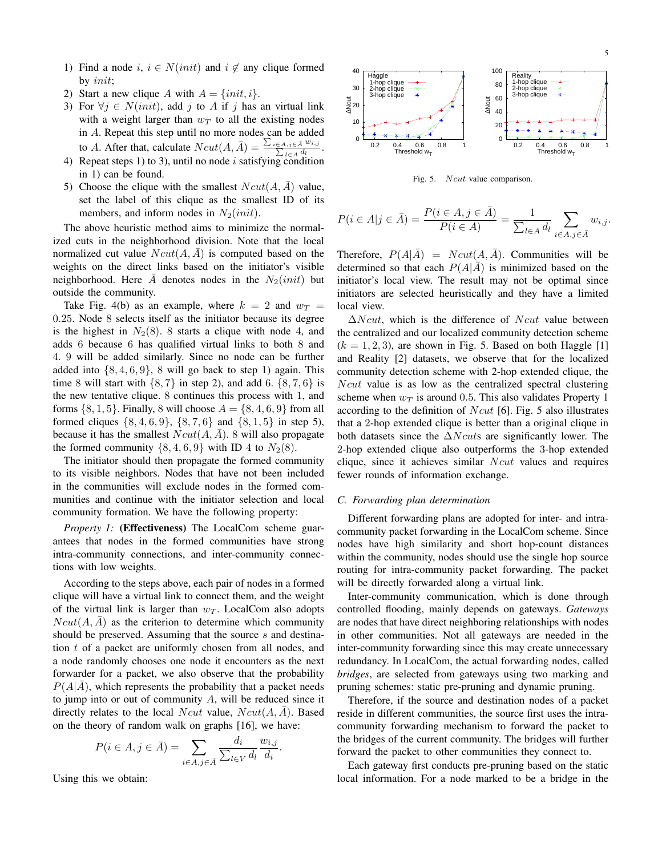- 1) Find a node i,  $i \in N(int)$  and  $i \notin \text{any clique formed}$ by init;
- 2) Start a new clique A with  $A = \{init, i\}$ .
- 3) For  $\forall j \in N (init)$ , add j to A if j has an virtual link with a weight larger than  $w_T$  to all the existing nodes in  $A$ . Repeat this step until no more nodes can be added to A. After that, calculate  $Ncut(A, \bar{A}) = \frac{\sum_{i \in A, j \in \bar{A}} w_{i,j}}{\sum_{i \in \bar{A}} a_i}$  $l \in A$ <sup>d</sup>l .
- 4) Repeat steps 1) to 3), until no node *i* satisfying condition in 1) can be found.
- 5) Choose the clique with the smallest  $Ncut(A, A)$  value, set the label of this clique as the smallest ID of its members, and inform nodes in  $N_2 (init)$ .

The above heuristic method aims to minimize the normalized cuts in the neighborhood division. Note that the local normalized cut value  $Ncut(A, A)$  is computed based on the weights on the direct links based on the initiator's visible neighborhood. Here  $\overline{A}$  denotes nodes in the  $N_2 (init)$  but outside the community.

Take Fig. 4(b) as an example, where  $k = 2$  and  $w_T =$ 0.25. Node 8 selects itself as the initiator because its degree is the highest in  $N_2(8)$ . 8 starts a clique with node 4, and adds 6 because 6 has qualified virtual links to both 8 and 4. 9 will be added similarly. Since no node can be further added into  $\{8, 4, 6, 9\}$ , 8 will go back to step 1) again. This time 8 will start with  $\{8, 7\}$  in step 2), and add 6.  $\{8, 7, 6\}$  is the new tentative clique. 8 continues this process with 1, and forms  $\{8, 1, 5\}$ . Finally, 8 will choose  $A = \{8, 4, 6, 9\}$  from all formed cliques  $\{8, 4, 6, 9\}$ ,  $\{8, 7, 6\}$  and  $\{8, 1, 5\}$  in step 5), because it has the smallest  $Ncut(A, A)$ . 8 will also propagate the formed community  $\{8, 4, 6, 9\}$  with ID 4 to  $N_2(8)$ .

The initiator should then propagate the formed community to its visible neighbors. Nodes that have not been included in the communities will exclude nodes in the formed communities and continue with the initiator selection and local community formation. We have the following property:

*Property 1:* (Effectiveness) The LocalCom scheme guarantees that nodes in the formed communities have strong intra-community connections, and inter-community connections with low weights.

According to the steps above, each pair of nodes in a formed clique will have a virtual link to connect them, and the weight of the virtual link is larger than  $w_T$ . LocalCom also adopts  $Ncut(A, \overline{A})$  as the criterion to determine which community should be preserved. Assuming that the source s and destination t of a packet are uniformly chosen from all nodes, and a node randomly chooses one node it encounters as the next forwarder for a packet, we also observe that the probability  $P(A|A)$ , which represents the probability that a packet needs to jump into or out of community A, will be reduced since it directly relates to the local N cut value,  $Ncut(A, A)$ . Based on the theory of random walk on graphs [16], we have:

$$
P(i \in A, j \in \bar{A}) = \sum_{i \in A, j \in \bar{A}} \frac{d_i}{\sum_{l \in V} d_l} \frac{w_{i,j}}{d_i}
$$

.

Using this we obtain:



Fig. 5. Ncut value comparison.

$$
P(i \in A | j \in \bar{A}) = \frac{P(i \in A, j \in \bar{A})}{P(i \in A)} = \frac{1}{\sum_{l \in A} d_l} \sum_{i \in A, j \in \bar{A}} w_{i,j}.
$$

Therefore,  $P(A|\overline{A}) = Ncut(A, \overline{A})$ . Communities will be determined so that each  $P(A|\overline{A})$  is minimized based on the initiator's local view. The result may not be optimal since initiators are selected heuristically and they have a limited local view.

 $\Delta Ncut$ , which is the difference of  $Ncut$  value between the centralized and our localized community detection scheme  $(k = 1, 2, 3)$ , are shown in Fig. 5. Based on both Haggle [1] and Reality [2] datasets, we observe that for the localized community detection scheme with 2-hop extended clique, the  $Next$  value is as low as the centralized spectral clustering scheme when  $w_T$  is around 0.5. This also validates Property 1 according to the definition of  $Ncut$  [6]. Fig. 5 also illustrates that a 2-hop extended clique is better than a original clique in both datasets since the  $\Delta N cuts$  are significantly lower. The 2-hop extended clique also outperforms the 3-hop extended clique, since it achieves similar  $Ncut$  values and requires fewer rounds of information exchange.

## *C. Forwarding plan determination*

Different forwarding plans are adopted for inter- and intracommunity packet forwarding in the LocalCom scheme. Since nodes have high similarity and short hop-count distances within the community, nodes should use the single hop source routing for intra-community packet forwarding. The packet will be directly forwarded along a virtual link.

Inter-community communication, which is done through controlled flooding, mainly depends on gateways. *Gateways* are nodes that have direct neighboring relationships with nodes in other communities. Not all gateways are needed in the inter-community forwarding since this may create unnecessary redundancy. In LocalCom, the actual forwarding nodes, called *bridges*, are selected from gateways using two marking and pruning schemes: static pre-pruning and dynamic pruning.

Therefore, if the source and destination nodes of a packet reside in different communities, the source first uses the intracommunity forwarding mechanism to forward the packet to the bridges of the current community. The bridges will further forward the packet to other communities they connect to.

Each gateway first conducts pre-pruning based on the static local information. For a node marked to be a bridge in the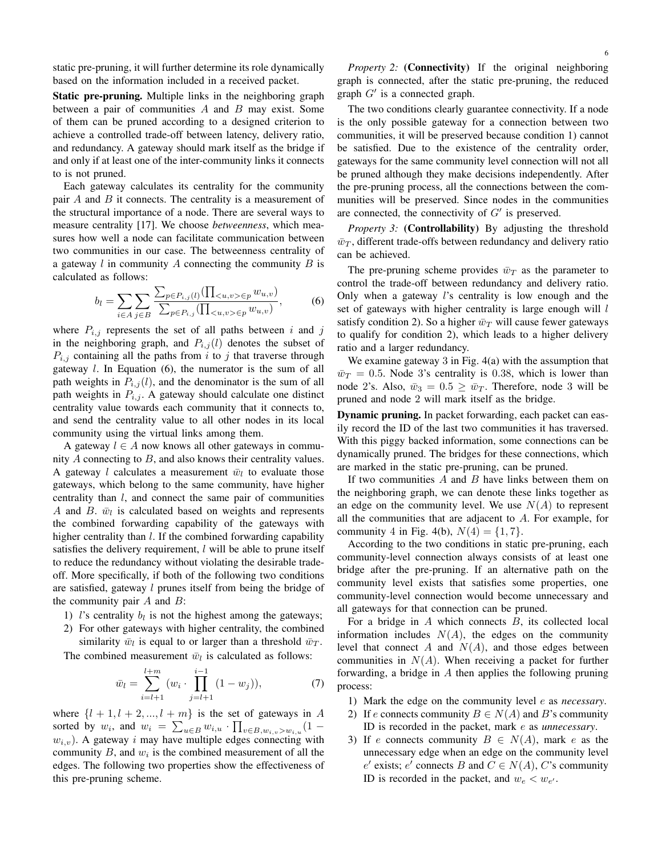static pre-pruning, it will further determine its role dynamically based on the information included in a received packet.

Static pre-pruning. Multiple links in the neighboring graph between a pair of communities  $A$  and  $B$  may exist. Some of them can be pruned according to a designed criterion to achieve a controlled trade-off between latency, delivery ratio, and redundancy. A gateway should mark itself as the bridge if and only if at least one of the inter-community links it connects to is not pruned.

Each gateway calculates its centrality for the community pair  $A$  and  $B$  it connects. The centrality is a measurement of the structural importance of a node. There are several ways to measure centrality [17]. We choose *betweenness*, which measures how well a node can facilitate communication between two communities in our case. The betweenness centrality of a gateway  $l$  in community  $A$  connecting the community  $B$  is calculated as follows:  $\overline{ }$  $\overline{a}$ 

$$
b_l = \sum_{i \in A} \sum_{j \in B} \frac{\sum_{p \in P_{i,j}(l)} (\prod_{< u, v > \in p} w_{u,v})}{\sum_{p \in P_{i,j}} (\prod_{< u, v > \in p} w_{u,v})},\tag{6}
$$

where  $P_{i,j}$  represents the set of all paths between i and j in the neighboring graph, and  $P_{i,j}(l)$  denotes the subset of  $P_{i,j}$  containing all the paths from i to j that traverse through gateway  $l$ . In Equation (6), the numerator is the sum of all path weights in  $P_{i,j}(l)$ , and the denominator is the sum of all path weights in  $P_{i,j}$ . A gateway should calculate one distinct centrality value towards each community that it connects to, and send the centrality value to all other nodes in its local community using the virtual links among them.

A gateway  $l \in A$  now knows all other gateways in community A connecting to B, and also knows their centrality values. A gateway l calculates a measurement  $\bar{w}_l$  to evaluate those gateways, which belong to the same community, have higher centrality than l, and connect the same pair of communities A and B.  $\bar{w}_l$  is calculated based on weights and represents the combined forwarding capability of the gateways with higher centrality than  $l$ . If the combined forwarding capability satisfies the delivery requirement, l will be able to prune itself to reduce the redundancy without violating the desirable tradeoff. More specifically, if both of the following two conditions are satisfied, gateway  $l$  prunes itself from being the bridge of the community pair  $A$  and  $B$ :

- 1) l's centrality  $b_l$  is not the highest among the gateways;
- 2) For other gateways with higher centrality, the combined

similarity  $\bar{w}_l$  is equal to or larger than a threshold  $\bar{w}_T$ . The combined measurement  $\bar{w}_l$  is calculated as follows:

$$
\bar{w}_l = \sum_{i=l+1}^{l+m} (w_i \cdot \prod_{j=l+1}^{i-1} (1 - w_j)), \tag{7}
$$

where  $\{l + 1, l + 2, ..., l + m\}$  is the set of gateways in A where  $\{i + 1, i + 2, ..., i + m\}$  is the set<br>sorted by  $w_i$ , and  $w_i = \sum_{u \in B} w_{i,u} \cdot \prod_{i \in B}$  $_{v\in B,w_{i,v}>w_{i,u}}(1$  $w_{i,v}$ ). A gateway i may have multiple edges connecting with community  $B$ , and  $w_i$  is the combined measurement of all the edges. The following two properties show the effectiveness of this pre-pruning scheme.

*Property 2:* (**Connectivity**) If the original neighboring graph is connected, after the static pre-pruning, the reduced graph  $G'$  is a connected graph.

The two conditions clearly guarantee connectivity. If a node is the only possible gateway for a connection between two communities, it will be preserved because condition 1) cannot be satisfied. Due to the existence of the centrality order, gateways for the same community level connection will not all be pruned although they make decisions independently. After the pre-pruning process, all the connections between the communities will be preserved. Since nodes in the communities are connected, the connectivity of  $G'$  is preserved.

*Property 3:* (**Controllability**) By adjusting the threshold  $\bar{w}_T$ , different trade-offs between redundancy and delivery ratio can be achieved.

The pre-pruning scheme provides  $\bar{w}_T$  as the parameter to control the trade-off between redundancy and delivery ratio. Only when a gateway l's centrality is low enough and the set of gateways with higher centrality is large enough will  $l$ satisfy condition 2). So a higher  $\bar{w}_T$  will cause fewer gateways to qualify for condition 2), which leads to a higher delivery ratio and a larger redundancy.

We examine gateway 3 in Fig. 4(a) with the assumption that  $\bar{w}_T = 0.5$ . Node 3's centrality is 0.38, which is lower than node 2's. Also,  $\bar{w}_3 = 0.5 \ge \bar{w}_T$ . Therefore, node 3 will be pruned and node 2 will mark itself as the bridge.

Dynamic pruning. In packet forwarding, each packet can easily record the ID of the last two communities it has traversed. With this piggy backed information, some connections can be dynamically pruned. The bridges for these connections, which are marked in the static pre-pruning, can be pruned.

If two communities  $A$  and  $B$  have links between them on the neighboring graph, we can denote these links together as an edge on the community level. We use  $N(A)$  to represent all the communities that are adjacent to A. For example, for community 4 in Fig. 4(b),  $N(4) = \{1, 7\}$ .

According to the two conditions in static pre-pruning, each community-level connection always consists of at least one bridge after the pre-pruning. If an alternative path on the community level exists that satisfies some properties, one community-level connection would become unnecessary and all gateways for that connection can be pruned.

For a bridge in A which connects B, its collected local information includes  $N(A)$ , the edges on the community level that connect A and  $N(A)$ , and those edges between communities in  $N(A)$ . When receiving a packet for further forwarding, a bridge in A then applies the following pruning process:

- 1) Mark the edge on the community level e as *necessary*.
- 2) If e connects community  $B \in N(A)$  and B's community ID is recorded in the packet, mark e as *unnecessary*.
- 3) If e connects community  $B \in N(A)$ , mark e as the unnecessary edge when an edge on the community level  $e'$  exists;  $e'$  connects B and  $C \in N(A)$ , C's community ID is recorded in the packet, and  $w_e < w_{e'}$ .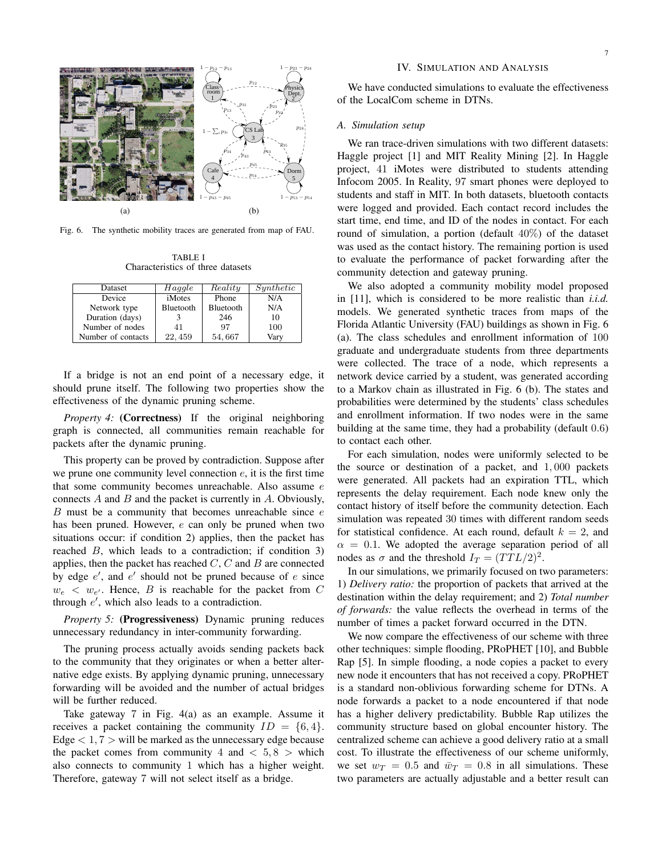

Fig. 6. The synthetic mobility traces are generated from map of FAU.

TABLE I Characteristics of three datasets

| Dataset            | Haggle    | Reality   | Synthetic |
|--------------------|-----------|-----------|-----------|
| Device             | iMotes    | Phone     | N/A       |
| Network type       | Bluetooth | Bluetooth | N/A       |
| Duration (days)    |           | 246       | 10        |
| Number of nodes    | 41        | 97        | 100       |
| Number of contacts | 22, 459   | 54,667    | Varv      |

If a bridge is not an end point of a necessary edge, it should prune itself. The following two properties show the effectiveness of the dynamic pruning scheme.

*Property 4:* (**Correctness**) If the original neighboring graph is connected, all communities remain reachable for packets after the dynamic pruning.

This property can be proved by contradiction. Suppose after we prune one community level connection  $e$ , it is the first time that some community becomes unreachable. Also assume  $e$ connects  $A$  and  $B$  and the packet is currently in  $A$ . Obviously,  $B$  must be a community that becomes unreachable since  $e$ has been pruned. However, e can only be pruned when two situations occur: if condition 2) applies, then the packet has reached B, which leads to a contradiction; if condition 3) applies, then the packet has reached  $C$ ,  $C$  and  $B$  are connected by edge  $e'$ , and  $e'$  should not be pruned because of  $e$  since  $w_e \, \langle \, w_{e'} \rangle$ . Hence, B is reachable for the packet from C through  $e'$ , which also leads to a contradiction.

*Property 5:* (Progressiveness) Dynamic pruning reduces unnecessary redundancy in inter-community forwarding.

The pruning process actually avoids sending packets back to the community that they originates or when a better alternative edge exists. By applying dynamic pruning, unnecessary forwarding will be avoided and the number of actual bridges will be further reduced.

Take gateway 7 in Fig. 4(a) as an example. Assume it receives a packet containing the community  $ID = \{6, 4\}.$ Edge  $< 1, 7 >$  will be marked as the unnecessary edge because the packet comes from community 4 and  $\langle 5, 8 \rangle$  which also connects to community 1 which has a higher weight. Therefore, gateway 7 will not select itself as a bridge.

#### IV. SIMULATION AND ANALYSIS

We have conducted simulations to evaluate the effectiveness of the LocalCom scheme in DTNs.

#### *A. Simulation setup*

We ran trace-driven simulations with two different datasets: Haggle project [1] and MIT Reality Mining [2]. In Haggle project, 41 iMotes were distributed to students attending Infocom 2005. In Reality, 97 smart phones were deployed to students and staff in MIT. In both datasets, bluetooth contacts were logged and provided. Each contact record includes the start time, end time, and ID of the nodes in contact. For each round of simulation, a portion (default  $40\%$ ) of the dataset was used as the contact history. The remaining portion is used to evaluate the performance of packet forwarding after the community detection and gateway pruning.

We also adopted a community mobility model proposed in [11], which is considered to be more realistic than *i.i.d.* models. We generated synthetic traces from maps of the Florida Atlantic University (FAU) buildings as shown in Fig. 6 (a). The class schedules and enrollment information of 100 graduate and undergraduate students from three departments were collected. The trace of a node, which represents a network device carried by a student, was generated according to a Markov chain as illustrated in Fig. 6 (b). The states and probabilities were determined by the students' class schedules and enrollment information. If two nodes were in the same building at the same time, they had a probability (default 0.6) to contact each other.

For each simulation, nodes were uniformly selected to be the source or destination of a packet, and 1, 000 packets were generated. All packets had an expiration TTL, which represents the delay requirement. Each node knew only the contact history of itself before the community detection. Each simulation was repeated 30 times with different random seeds for statistical confidence. At each round, default  $k = 2$ , and  $\alpha = 0.1$ . We adopted the average separation period of all nodes as  $\sigma$  and the threshold  $I_T = (TTL/2)^2$ .

In our simulations, we primarily focused on two parameters: 1) *Delivery ratio:* the proportion of packets that arrived at the destination within the delay requirement; and 2) *Total number of forwards:* the value reflects the overhead in terms of the number of times a packet forward occurred in the DTN.

We now compare the effectiveness of our scheme with three other techniques: simple flooding, PRoPHET [10], and Bubble Rap [5]. In simple flooding, a node copies a packet to every new node it encounters that has not received a copy. PRoPHET is a standard non-oblivious forwarding scheme for DTNs. A node forwards a packet to a node encountered if that node has a higher delivery predictability. Bubble Rap utilizes the community structure based on global encounter history. The centralized scheme can achieve a good delivery ratio at a small cost. To illustrate the effectiveness of our scheme uniformly, we set  $w_T = 0.5$  and  $\bar{w}_T = 0.8$  in all simulations. These two parameters are actually adjustable and a better result can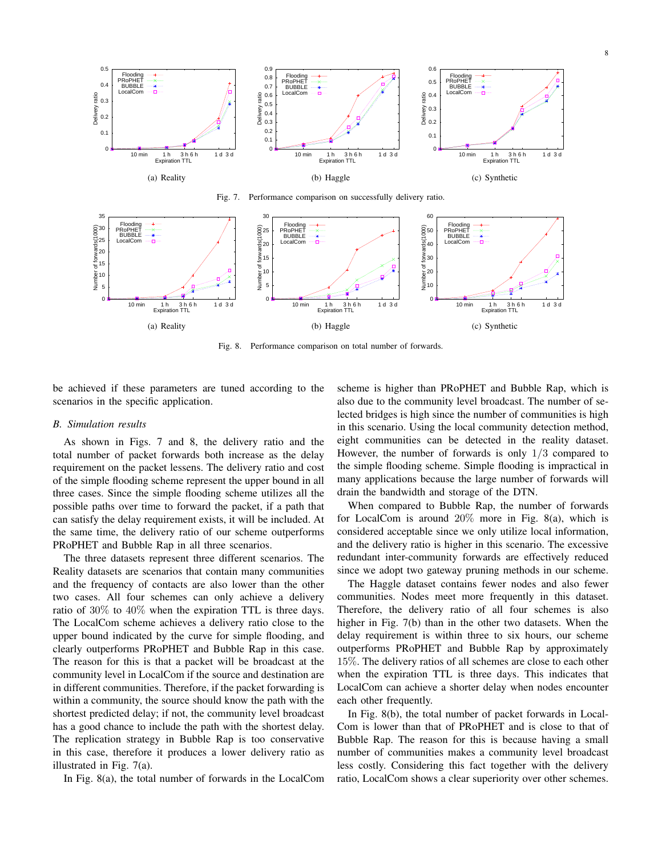

Fig. 7. Performance comparison on successfully delivery ratio.



Fig. 8. Performance comparison on total number of forwards.

be achieved if these parameters are tuned according to the scenarios in the specific application.

#### *B. Simulation results*

As shown in Figs. 7 and 8, the delivery ratio and the total number of packet forwards both increase as the delay requirement on the packet lessens. The delivery ratio and cost of the simple flooding scheme represent the upper bound in all three cases. Since the simple flooding scheme utilizes all the possible paths over time to forward the packet, if a path that can satisfy the delay requirement exists, it will be included. At the same time, the delivery ratio of our scheme outperforms PRoPHET and Bubble Rap in all three scenarios.

The three datasets represent three different scenarios. The Reality datasets are scenarios that contain many communities and the frequency of contacts are also lower than the other two cases. All four schemes can only achieve a delivery ratio of 30% to 40% when the expiration TTL is three days. The LocalCom scheme achieves a delivery ratio close to the upper bound indicated by the curve for simple flooding, and clearly outperforms PRoPHET and Bubble Rap in this case. The reason for this is that a packet will be broadcast at the community level in LocalCom if the source and destination are in different communities. Therefore, if the packet forwarding is within a community, the source should know the path with the shortest predicted delay; if not, the community level broadcast has a good chance to include the path with the shortest delay. The replication strategy in Bubble Rap is too conservative in this case, therefore it produces a lower delivery ratio as illustrated in Fig. 7(a).

In Fig. 8(a), the total number of forwards in the LocalCom

scheme is higher than PRoPHET and Bubble Rap, which is also due to the community level broadcast. The number of selected bridges is high since the number of communities is high in this scenario. Using the local community detection method, eight communities can be detected in the reality dataset. However, the number of forwards is only 1/3 compared to the simple flooding scheme. Simple flooding is impractical in many applications because the large number of forwards will drain the bandwidth and storage of the DTN.

When compared to Bubble Rap, the number of forwards for LocalCom is around  $20\%$  more in Fig. 8(a), which is considered acceptable since we only utilize local information, and the delivery ratio is higher in this scenario. The excessive redundant inter-community forwards are effectively reduced since we adopt two gateway pruning methods in our scheme.

The Haggle dataset contains fewer nodes and also fewer communities. Nodes meet more frequently in this dataset. Therefore, the delivery ratio of all four schemes is also higher in Fig. 7(b) than in the other two datasets. When the delay requirement is within three to six hours, our scheme outperforms PRoPHET and Bubble Rap by approximately 15%. The delivery ratios of all schemes are close to each other when the expiration TTL is three days. This indicates that LocalCom can achieve a shorter delay when nodes encounter each other frequently.

In Fig. 8(b), the total number of packet forwards in Local-Com is lower than that of PRoPHET and is close to that of Bubble Rap. The reason for this is because having a small number of communities makes a community level broadcast less costly. Considering this fact together with the delivery ratio, LocalCom shows a clear superiority over other schemes.